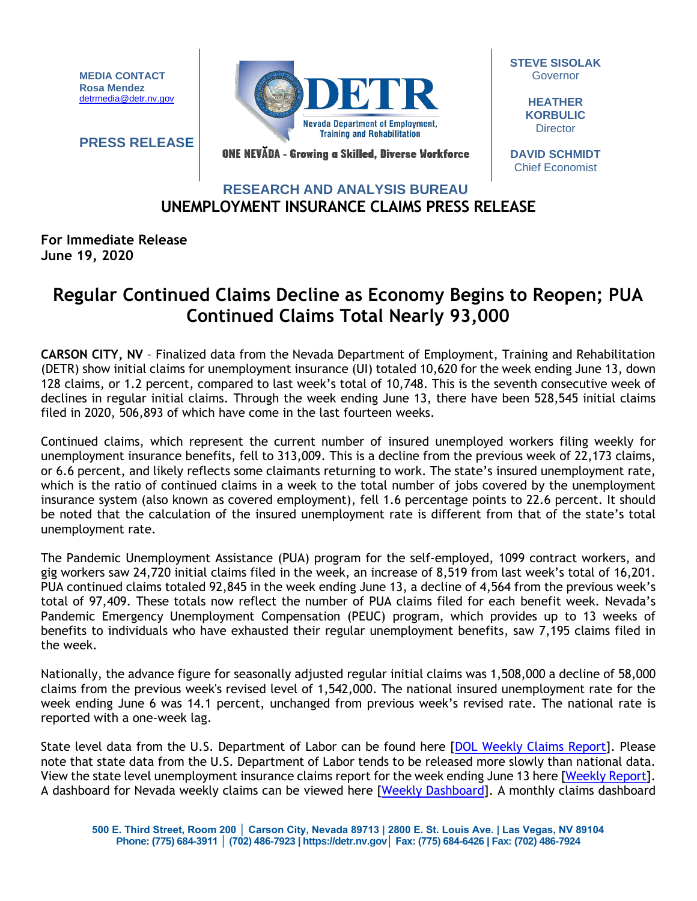**MEDIA CONTACT Rosa Mendez** [detrmedia@detr.nv.gov](mailto:detrmedia@detr.nv.gov)

**PRESS RELEASE**



**STEVE SISOLAK Governor** 

> **HEATHER KORBULIC Director**

ONE NEVĂDA - Growing a Skilled, Diverse Workforce

**DAVID SCHMIDT** Chief Economist

## **UNEMPLOYMENT INSURANCE CLAIMS PRESS RELEASE RESEARCH AND ANALYSIS BUREAU**

## **For Immediate Release June 19, 2020**

## **Regular Continued Claims Decline as Economy Begins to Reopen; PUA Continued Claims Total Nearly 93,000**

**CARSON CITY, NV** – Finalized data from the Nevada Department of Employment, Training and Rehabilitation (DETR) show initial claims for unemployment insurance (UI) totaled 10,620 for the week ending June 13, down 128 claims, or 1.2 percent, compared to last week's total of 10,748. This is the seventh consecutive week of declines in regular initial claims. Through the week ending June 13, there have been 528,545 initial claims filed in 2020, 506,893 of which have come in the last fourteen weeks.

Continued claims, which represent the current number of insured unemployed workers filing weekly for unemployment insurance benefits, fell to 313,009. This is a decline from the previous week of 22,173 claims, or 6.6 percent, and likely reflects some claimants returning to work. The state's insured unemployment rate, which is the ratio of continued claims in a week to the total number of jobs covered by the unemployment insurance system (also known as covered employment), fell 1.6 percentage points to 22.6 percent. It should be noted that the calculation of the insured unemployment rate is different from that of the state's total unemployment rate.

The Pandemic Unemployment Assistance (PUA) program for the self-employed, 1099 contract workers, and gig workers saw 24,720 initial claims filed in the week, an increase of 8,519 from last week's total of 16,201. PUA continued claims totaled 92,845 in the week ending June 13, a decline of 4,564 from the previous week's total of 97,409. These totals now reflect the number of PUA claims filed for each benefit week. Nevada's Pandemic Emergency Unemployment Compensation (PEUC) program, which provides up to 13 weeks of benefits to individuals who have exhausted their regular unemployment benefits, saw 7,195 claims filed in the week.

Nationally, the advance figure for seasonally adjusted regular initial claims was 1,508,000 a decline of 58,000 claims from the previous week's revised level of 1,542,000. The national insured unemployment rate for the week ending June 6 was 14.1 percent, unchanged from previous week's revised rate. The national rate is reported with a one-week lag.

State level data from the U.S. Department of Labor can be found here [\[DOL Weekly Claims Report\]](https://oui.doleta.gov/unemploy/claims_arch.asp). Please note that state data from the U.S. Department of Labor tends to be released more slowly than national data. View the state level unemployment insurance claims report for the week ending June 13 here [\[Weekly Report\]](http://nvlmi.mt.gov/Portals/197/UI%20Monthly%20Claims%20Press%20Release/Dashboards/State%20of%20Nevada%20UI%20Weekly%20Filing%20Report.pdf). A dashboard for Nevada weekly claims can be viewed here [\[Weekly Dashboard\]](http://nvlmi.mt.gov/Portals/197/UI%20Monthly%20Claims%20Press%20Release/Dashboards/UIWeeklyDashboard.html). A monthly claims dashboard